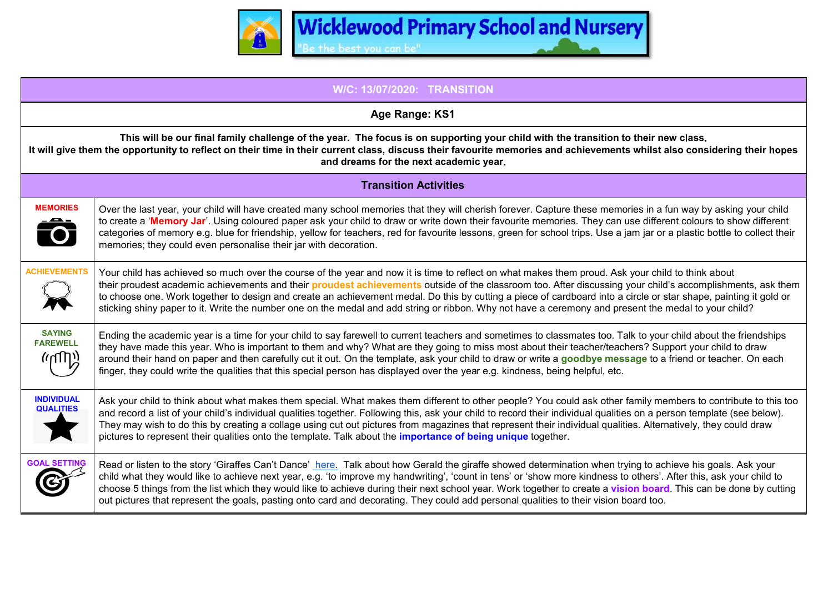

| <b>W/C: 13/07/2020: TRANSITION</b>                                                                                                                                                                                                                                                                                                                       |                                                                                                                                                                                                                                                                                                                                                                                                                                                                                                                                                                                                                                                    |
|----------------------------------------------------------------------------------------------------------------------------------------------------------------------------------------------------------------------------------------------------------------------------------------------------------------------------------------------------------|----------------------------------------------------------------------------------------------------------------------------------------------------------------------------------------------------------------------------------------------------------------------------------------------------------------------------------------------------------------------------------------------------------------------------------------------------------------------------------------------------------------------------------------------------------------------------------------------------------------------------------------------------|
| Age Range: KS1                                                                                                                                                                                                                                                                                                                                           |                                                                                                                                                                                                                                                                                                                                                                                                                                                                                                                                                                                                                                                    |
| This will be our final family challenge of the year. The focus is on supporting your child with the transition to their new class.<br>It will give them the opportunity to reflect on their time in their current class, discuss their favourite memories and achievements whilst also considering their hopes<br>and dreams for the next academic year. |                                                                                                                                                                                                                                                                                                                                                                                                                                                                                                                                                                                                                                                    |
| <b>Transition Activities</b>                                                                                                                                                                                                                                                                                                                             |                                                                                                                                                                                                                                                                                                                                                                                                                                                                                                                                                                                                                                                    |
| <b>MEMORIES</b><br>$\overline{\bullet}$                                                                                                                                                                                                                                                                                                                  | Over the last year, your child will have created many school memories that they will cherish forever. Capture these memories in a fun way by asking your child<br>to create a 'Memory Jar'. Using coloured paper ask your child to draw or write down their favourite memories. They can use different colours to show different<br>categories of memory e.g. blue for friendship, yellow for teachers, red for favourite lessons, green for school trips. Use a jam jar or a plastic bottle to collect their<br>memories; they could even personalise their jar with decoration.                                                                  |
| <b>ACHIEVEMENTS</b>                                                                                                                                                                                                                                                                                                                                      | Your child has achieved so much over the course of the year and now it is time to reflect on what makes them proud. Ask your child to think about<br>their proudest academic achievements and their <b>proudest achievements</b> outside of the classroom too. After discussing your child's accomplishments, ask them<br>to choose one. Work together to design and create an achievement medal. Do this by cutting a piece of cardboard into a circle or star shape, painting it gold or<br>sticking shiny paper to it. Write the number one on the medal and add string or ribbon. Why not have a ceremony and present the medal to your child? |
| <b>SAYING</b><br><b>FAREWELL</b><br>(יעשי)                                                                                                                                                                                                                                                                                                               | Ending the academic year is a time for your child to say farewell to current teachers and sometimes to classmates too. Talk to your child about the friendships<br>they have made this year. Who is important to them and why? What are they going to miss most about their teacher/teachers? Support your child to draw<br>around their hand on paper and then carefully cut it out. On the template, ask your child to draw or write a goodbye message to a friend or teacher. On each<br>finger, they could write the qualities that this special person has displayed over the year e.g. kindness, being helpful, etc.                         |
| <b>INDIVIDUAL</b><br><b>QUALITIES</b>                                                                                                                                                                                                                                                                                                                    | Ask your child to think about what makes them special. What makes them different to other people? You could ask other family members to contribute to this too<br>and record a list of your child's individual qualities together. Following this, ask your child to record their individual qualities on a person template (see below).<br>They may wish to do this by creating a collage using cut out pictures from magazines that represent their individual qualities. Alternatively, they could draw<br>pictures to represent their qualities onto the template. Talk about the <b>importance of being unique</b> together.                  |
| <b>GOAL SETTING</b>                                                                                                                                                                                                                                                                                                                                      | Read or listen to the story 'Giraffes Can't Dance' here. Talk about how Gerald the giraffe showed determination when trying to achieve his goals. Ask your<br>child what they would like to achieve next year, e.g. 'to improve my handwriting', 'count in tens' or 'show more kindness to others'. After this, ask your child to<br>choose 5 things from the list which they would like to achieve during their next school year. Work together to create a vision board. This can be done by cutting<br>out pictures that represent the goals, pasting onto card and decorating. They could add personal qualities to their vision board too.    |